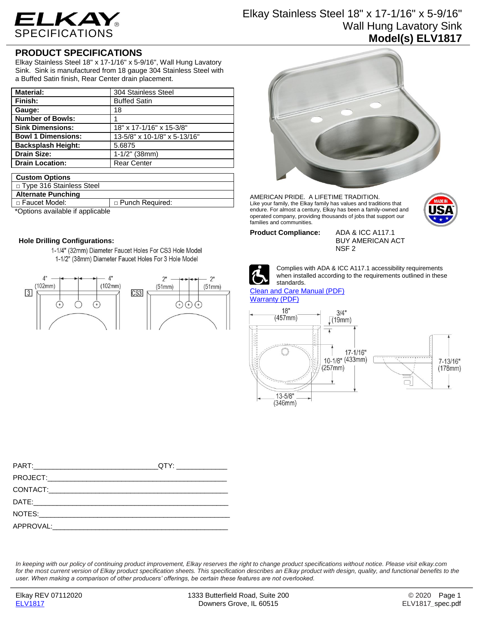

# Elkay Stainless Steel 18" x 17-1/16" x 5-9/16" Wall Hung Lavatory Sink **Model(s) ELV1817**

## **PRODUCT SPECIFICATIONS**

Elkay Stainless Steel 18" x 17-1/16" x 5-9/16", Wall Hung Lavatory Sink. Sink is manufactured from 18 gauge 304 Stainless Steel with a Buffed Satin finish, Rear Center drain placement.

| <b>Material:</b>          | 304 Stainless Steel          |
|---------------------------|------------------------------|
| Finish:                   | <b>Buffed Satin</b>          |
| Gauge:                    | 18                           |
| <b>Number of Bowls:</b>   |                              |
| <b>Sink Dimensions:</b>   | 18" x 17-1/16" x 15-3/8"     |
| <b>Bowl 1 Dimensions:</b> | 13-5/8" x 10-1/8" x 5-13/16" |
| <b>Backsplash Height:</b> | 5.6875                       |
| <b>Drain Size:</b>        | $1-1/2$ " (38mm)             |
| <b>Drain Location:</b>    | <b>Rear Center</b>           |

#### **Custom Options**

| □ Type 316 Stainless Steel       |                   |
|----------------------------------|-------------------|
| <b>Alternate Punching</b>        |                   |
| □ Faucet Model:                  | □ Punch Required: |
| *Ontione available if annlicable |                   |

Options available if applicable

### **Hole Drilling Configurations:**

1-1/4" (32mm) Diameter Faucet Holes For CS3 Hole Model 1-1/2" (38mm) Diameter Faucet Holes For 3 Hole Model





AMERICAN PRIDE. A LIFETIME TRADITION. Like your family, the Elkay family has values and traditions that endure. For almost a century, Elkay has been a family-owned and operated company, providing thousands of jobs that support our families and communities.

**Product Compliance:** ADA & ICC A117.1

BUY AMERICAN ACT NSF 2



Complies with ADA & ICC A117.1 accessibility requirements when installed according to the requirements outlined in these standards.

#### [Clean and Care Manual \(PDF\)](http://www.elkayfiles.com/care-cleaning-install-warranty-sheets/1000005386.pdf) [Warranty](http://www.elkayfiles.com/care-cleaning-install-warranty-sheets/1000005134.pdf) (PDF)



*In keeping with our policy of continuing product improvement, Elkay reserves the right to change product specifications without notice. Please visit elkay.com*  for the most current version of Elkay product specification sheets. This specification describes an Elkay product with design, quality, and functional benefits to the *user. When making a comparison of other producers' offerings, be certain these features are not overlooked.*